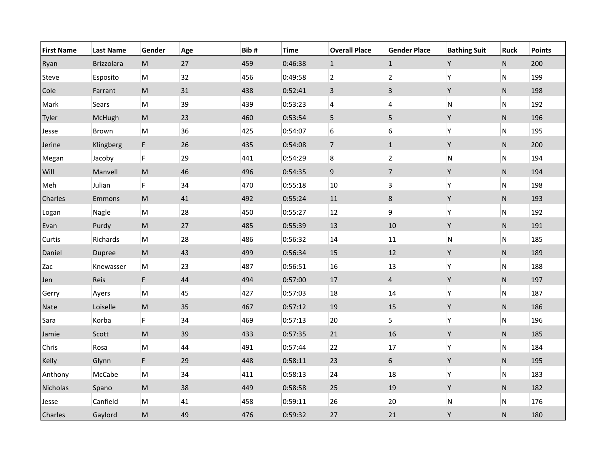| <b>First Name</b> | <b>Last Name</b> | Gender                                                                                                     | Age | Bib# | <b>Time</b> | <b>Overall Place</b> | <b>Gender Place</b> | <b>Bathing Suit</b> | <b>Ruck</b> | <b>Points</b> |
|-------------------|------------------|------------------------------------------------------------------------------------------------------------|-----|------|-------------|----------------------|---------------------|---------------------|-------------|---------------|
| Ryan              | Brizzolara       | ${\sf M}$                                                                                                  | 27  | 459  | 0:46:38     | $\mathbf{1}$         | $\mathbf{1}$        | Y                   | ${\sf N}$   | 200           |
| Steve             | Esposito         | M                                                                                                          | 32  | 456  | 0:49:58     | $\overline{2}$       | $\overline{2}$      | Υ                   | ${\sf N}$   | 199           |
| Cole              | Farrant          | $\mathsf{M}% _{T}=\mathsf{M}_{T}\!\left( a,b\right) ,\ \mathsf{M}_{T}=\mathsf{M}_{T}\!\left( a,b\right) ,$ | 31  | 438  | 0:52:41     | $\overline{3}$       | 3                   | Y                   | ${\sf N}$   | 198           |
| Mark              | Sears            | ${\sf M}$                                                                                                  | 39  | 439  | 0:53:23     | $\pmb{4}$            | 4                   | N                   | N           | 192           |
| Tyler             | McHugh           | $\mathsf{M}% _{T}=\mathsf{M}_{T}\!\left( a,b\right) ,\ \mathsf{M}_{T}=\mathsf{M}_{T}\!\left( a,b\right) ,$ | 23  | 460  | 0:53:54     | 5                    | 5                   | Y                   | ${\sf N}$   | 196           |
| Jesse             | Brown            | ${\sf M}$                                                                                                  | 36  | 425  | 0:54:07     | 6                    | 6                   | Υ                   | ${\sf N}$   | 195           |
| Jerine            | Klingberg        | F.                                                                                                         | 26  | 435  | 0:54:08     | $\overline{7}$       | $\mathbf{1}$        | Υ                   | ${\sf N}$   | 200           |
| Megan             | Jacoby           | F                                                                                                          | 29  | 441  | 0:54:29     | 8                    | $\overline{2}$      | N                   | ${\sf N}$   | 194           |
| Will              | Manvell          | $\mathsf{M}% _{T}=\mathsf{M}_{T}\!\left( a,b\right) ,\ \mathsf{M}_{T}=\mathsf{M}_{T}\!\left( a,b\right) ,$ | 46  | 496  | 0:54:35     | $\mathsf 9$          | $\overline{7}$      | Υ                   | ${\sf N}$   | 194           |
| Meh               | Julian           | F                                                                                                          | 34  | 470  | 0:55:18     | 10                   | $\mathsf 3$         | Υ                   | N           | 198           |
| Charles           | Emmons           | $\mathsf{M}% _{T}=\mathsf{M}_{T}\!\left( a,b\right) ,\ \mathsf{M}_{T}=\mathsf{M}_{T}\!\left( a,b\right) ,$ | 41  | 492  | 0:55:24     | $11\,$               | $\bf 8$             | Υ                   | ${\sf N}$   | 193           |
| Logan             | Nagle            | ${\sf M}$                                                                                                  | 28  | 450  | 0:55:27     | $12\,$               | 9                   | Υ                   | ${\sf N}$   | 192           |
| Evan              | Purdy            | $\mathsf{M}% _{T}=\mathsf{M}_{T}\!\left( a,b\right) ,\ \mathsf{M}_{T}=\mathsf{M}_{T}\!\left( a,b\right) ,$ | 27  | 485  | 0:55:39     | 13                   | 10                  | Υ                   | ${\sf N}$   | 191           |
| Curtis            | Richards         | M                                                                                                          | 28  | 486  | 0:56:32     | 14                   | 11                  | N                   | N           | 185           |
| Daniel            | Dupree           | $\mathsf{M}% _{T}=\mathsf{M}_{T}\!\left( a,b\right) ,\ \mathsf{M}_{T}=\mathsf{M}_{T}\!\left( a,b\right) ,$ | 43  | 499  | 0:56:34     | 15                   | 12                  | Υ                   | ${\sf N}$   | 189           |
| Zac               | Knewasser        | ${\sf M}$                                                                                                  | 23  | 487  | 0:56:51     | 16                   | 13                  | Υ                   | N           | 188           |
| Jen               | Reis             | F.                                                                                                         | 44  | 494  | 0:57:00     | $17\,$               | $\overline{4}$      | Υ                   | ${\sf N}$   | 197           |
| Gerry             | Ayers            | ${\sf M}$                                                                                                  | 45  | 427  | 0:57:03     | 18                   | 14                  | Υ                   | ${\sf N}$   | 187           |
| Nate              | Loiselle         | ${\sf M}$                                                                                                  | 35  | 467  | 0:57:12     | 19                   | 15                  | Υ                   | ${\sf N}$   | 186           |
| Sara              | Korba            | F                                                                                                          | 34  | 469  | 0:57:13     | 20                   | 5                   | Υ                   | ${\sf N}$   | 196           |
| Jamie             | Scott            | $\mathsf{M}% _{T}=\mathsf{M}_{T}\!\left( a,b\right) ,\ \mathsf{M}_{T}=\mathsf{M}_{T}\!\left( a,b\right) ,$ | 39  | 433  | 0:57:35     | 21                   | 16                  | Υ                   | ${\sf N}$   | 185           |
| Chris             | Rosa             | $\mathsf{M}% _{T}=\mathsf{M}_{T}\!\left( a,b\right) ,\ \mathsf{M}_{T}=\mathsf{M}_{T}\!\left( a,b\right) ,$ | 44  | 491  | 0:57:44     | 22                   | 17                  | Υ                   | N           | 184           |
| Kelly             | Glynn            | F.                                                                                                         | 29  | 448  | 0:58:11     | 23                   | $6\phantom{a}$      | Υ                   | ${\sf N}$   | 195           |
| Anthony           | McCabe           | ${\sf M}$                                                                                                  | 34  | 411  | 0:58:13     | 24                   | 18                  | Υ                   | ${\sf N}$   | 183           |
| Nicholas          | Spano            | ${\sf M}$                                                                                                  | 38  | 449  | 0:58:58     | 25                   | 19                  | Υ                   | ${\sf N}$   | 182           |
| Jesse             | Canfield         | ${\sf M}$                                                                                                  | 41  | 458  | 0:59:11     | 26                   | 20                  | N                   | ${\sf N}$   | 176           |
| Charles           | Gaylord          | $\mathsf{M}% _{T}=\mathsf{M}_{T}\!\left( a,b\right) ,\ \mathsf{M}_{T}=\mathsf{M}_{T}\!\left( a,b\right) ,$ | 49  | 476  | 0:59:32     | 27                   | 21                  | Υ                   | ${\sf N}$   | 180           |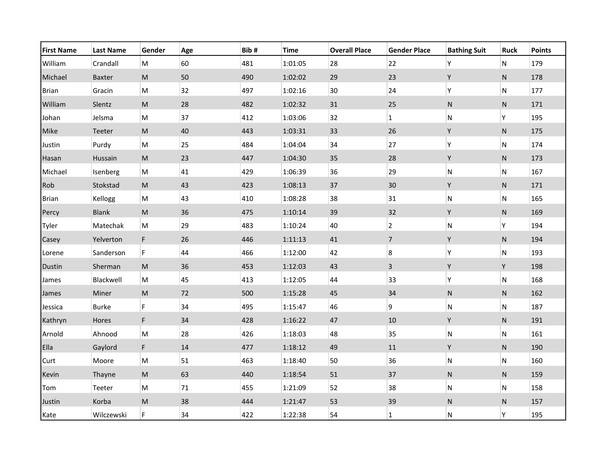| <b>First Name</b> | <b>Last Name</b> | Gender                                                                                                     | Age | Bib# | Time    | <b>Overall Place</b> | <b>Gender Place</b> | <b>Bathing Suit</b> | <b>Ruck</b> | <b>Points</b> |
|-------------------|------------------|------------------------------------------------------------------------------------------------------------|-----|------|---------|----------------------|---------------------|---------------------|-------------|---------------|
| William           | Crandall         | M                                                                                                          | 60  | 481  | 1:01:05 | 28                   | 22                  | Υ                   | ${\sf N}$   | 179           |
| Michael           | Baxter           | $\mathsf{M}% _{T}=\mathsf{M}_{T}\!\left( a,b\right) ,\ \mathsf{M}_{T}=\mathsf{M}_{T}\!\left( a,b\right) ,$ | 50  | 490  | 1:02:02 | 29                   | 23                  | Υ                   | ${\sf N}$   | 178           |
| <b>Brian</b>      | Gracin           | $\mathsf{M}% _{T}=\mathsf{M}_{T}\!\left( a,b\right) ,\ \mathsf{M}_{T}=\mathsf{M}_{T}$                      | 32  | 497  | 1:02:16 | 30                   | 24                  | Υ                   | ${\sf N}$   | 177           |
| William           | Slentz           | $\mathsf{M}% _{T}=\mathsf{M}_{T}\!\left( a,b\right) ,\ \mathsf{M}_{T}=\mathsf{M}_{T}\!\left( a,b\right) ,$ | 28  | 482  | 1:02:32 | 31                   | 25                  | N                   | ${\sf N}$   | 171           |
| Johan             | Jelsma           | $\mathsf{M}% _{T}=\mathsf{M}_{T}\!\left( a,b\right) ,\ \mathsf{M}_{T}=\mathsf{M}_{T}\!\left( a,b\right) ,$ | 37  | 412  | 1:03:06 | 32                   | $\mathbf 1$         | ${\sf N}$           | Υ           | 195           |
| Mike              | Teeter           | $\mathsf{M}% _{T}=\mathsf{M}_{T}\!\left( a,b\right) ,\ \mathsf{M}_{T}=\mathsf{M}_{T}\!\left( a,b\right) ,$ | 40  | 443  | 1:03:31 | 33                   | 26                  | Υ                   | ${\sf N}$   | 175           |
| Justin            | Purdy            | $\mathsf{M}% _{T}=\mathsf{M}_{T}\!\left( a,b\right) ,\ \mathsf{M}_{T}=\mathsf{M}_{T}\!\left( a,b\right) ,$ | 25  | 484  | 1:04:04 | 34                   | 27                  | Υ                   | ${\sf N}$   | 174           |
| Hasan             | Hussain          | $\mathsf{M}% _{T}=\mathsf{M}_{T}\!\left( a,b\right) ,\ \mathsf{M}_{T}=\mathsf{M}_{T}\!\left( a,b\right) ,$ | 23  | 447  | 1:04:30 | 35                   | 28                  | Υ                   | ${\sf N}$   | 173           |
| Michael           | Isenberg         | $\mathsf{M}% _{T}=\mathsf{M}_{T}\!\left( a,b\right) ,\ \mathsf{M}_{T}=\mathsf{M}_{T}$                      | 41  | 429  | 1:06:39 | 36                   | 29                  | ${\sf N}$           | ${\sf N}$   | 167           |
| Rob               | Stokstad         | $\mathsf{M}% _{T}=\mathsf{M}_{T}\!\left( a,b\right) ,\ \mathsf{M}_{T}=\mathsf{M}_{T}\!\left( a,b\right) ,$ | 43  | 423  | 1:08:13 | 37                   | $30\,$              | Υ                   | ${\sf N}$   | 171           |
| <b>Brian</b>      | Kellogg          | M                                                                                                          | 43  | 410  | 1:08:28 | 38                   | 31                  | ${\sf N}$           | ${\sf N}$   | 165           |
| Percy             | <b>Blank</b>     | ${\sf M}$                                                                                                  | 36  | 475  | 1:10:14 | 39                   | 32                  | Υ                   | ${\sf N}$   | 169           |
| Tyler             | Matechak         | $\mathsf{M}% _{T}=\mathsf{M}_{T}\!\left( a,b\right) ,\ \mathsf{M}_{T}=\mathsf{M}_{T}\!\left( a,b\right) ,$ | 29  | 483  | 1:10:24 | 40                   | $\overline{2}$      | ${\sf N}$           | Υ           | 194           |
| Casey             | Yelverton        | F.                                                                                                         | 26  | 446  | 1:11:13 | $41\,$               | $\overline{7}$      | Υ                   | ${\sf N}$   | 194           |
| Lorene            | Sanderson        | F                                                                                                          | 44  | 466  | 1:12:00 | 42                   | 8                   | Υ                   | ${\sf N}$   | 193           |
| Dustin            | Sherman          | ${\sf M}$                                                                                                  | 36  | 453  | 1:12:03 | 43                   | 3                   | Υ                   | Υ           | 198           |
| James             | Blackwell        | ${\sf M}$                                                                                                  | 45  | 413  | 1:12:05 | 44                   | 33                  | Υ                   | ${\sf N}$   | 168           |
| James             | Miner            | $\mathsf{M}% _{T}=\mathsf{M}_{T}\!\left( a,b\right) ,\ \mathsf{M}_{T}=\mathsf{M}_{T}\!\left( a,b\right) ,$ | 72  | 500  | 1:15:28 | 45                   | 34                  | ${\sf N}$           | ${\sf N}$   | 162           |
| Jessica           | Burke            | F                                                                                                          | 34  | 495  | 1:15:47 | 46                   | 9                   | ${\sf N}$           | N           | 187           |
| Kathryn           | Hores            | F.                                                                                                         | 34  | 428  | 1:16:22 | $47\,$               | $10\,$              | Υ                   | ${\sf N}$   | 191           |
| Arnold            | Ahnood           | ${\sf M}$                                                                                                  | 28  | 426  | 1:18:03 | 48                   | 35                  | ${\sf N}$           | ${\sf N}$   | 161           |
| Ella              | Gaylord          | F.                                                                                                         | 14  | 477  | 1:18:12 | 49                   | $11\,$              | Υ                   | ${\sf N}$   | 190           |
| Curt              | Moore            | ${\sf M}$                                                                                                  | 51  | 463  | 1:18:40 | 50                   | 36                  | N                   | ${\sf N}$   | 160           |
| Kevin             | Thayne           | $\mathsf{M}% _{T}=\mathsf{M}_{T}\!\left( a,b\right) ,\ \mathsf{M}_{T}=\mathsf{M}_{T}\!\left( a,b\right) ,$ | 63  | 440  | 1:18:54 | 51                   | 37                  | ${\sf N}$           | ${\sf N}$   | 159           |
| Tom               | Teeter           | $\mathsf{M}% _{T}=\mathsf{M}_{T}\!\left( a,b\right) ,\ \mathsf{M}_{T}=\mathsf{M}_{T}\!\left( a,b\right) ,$ | 71  | 455  | 1:21:09 | 52                   | 38                  | N                   | ${\sf N}$   | 158           |
| Justin            | Korba            | ${\sf M}$                                                                                                  | 38  | 444  | 1:21:47 | 53                   | 39                  | N                   | ${\sf N}$   | 157           |
| Kate              | Wilczewski       | F                                                                                                          | 34  | 422  | 1:22:38 | 54                   | $\mathbf{1}$        | N                   | Υ           | 195           |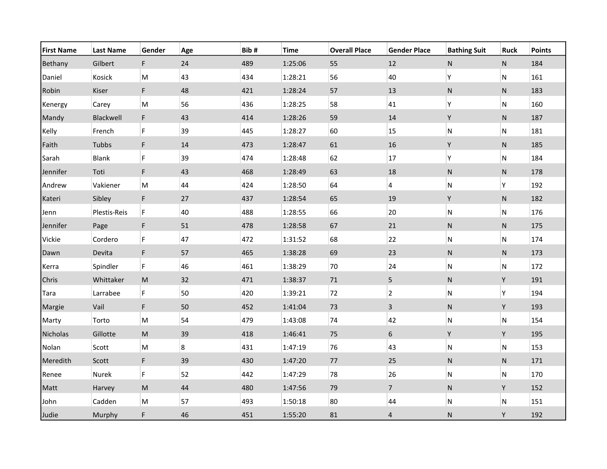| <b>First Name</b> | <b>Last Name</b> | Gender                                                                                                     | Age     | Bib# | <b>Time</b> | <b>Overall Place</b> | <b>Gender Place</b>     | <b>Bathing Suit</b> | <b>Ruck</b> | <b>Points</b> |
|-------------------|------------------|------------------------------------------------------------------------------------------------------------|---------|------|-------------|----------------------|-------------------------|---------------------|-------------|---------------|
| Bethany           | Gilbert          | F.                                                                                                         | 24      | 489  | 1:25:06     | 55                   | 12                      | N                   | ${\sf N}$   | 184           |
| Daniel            | Kosick           | M                                                                                                          | 43      | 434  | 1:28:21     | 56                   | 40                      | Υ                   | ${\sf N}$   | 161           |
| Robin             | Kiser            | F.                                                                                                         | 48      | 421  | 1:28:24     | 57                   | 13                      | N                   | ${\sf N}$   | 183           |
| Kenergy           | Carey            | ${\sf M}$                                                                                                  | 56      | 436  | 1:28:25     | 58                   | 41                      | Υ                   | N           | 160           |
| Mandy             | Blackwell        | F.                                                                                                         | 43      | 414  | 1:28:26     | 59                   | 14                      | Υ                   | ${\sf N}$   | 187           |
| Kelly             | French           | F                                                                                                          | 39      | 445  | 1:28:27     | 60                   | 15                      | N                   | ${\sf N}$   | 181           |
| Faith             | Tubbs            | F.                                                                                                         | 14      | 473  | 1:28:47     | 61                   | 16                      | Υ                   | N           | 185           |
| Sarah             | Blank            | F                                                                                                          | 39      | 474  | 1:28:48     | 62                   | 17                      | Υ                   | N           | 184           |
| Jennifer          | Toti             | F                                                                                                          | 43      | 468  | 1:28:49     | 63                   | 18                      | N                   | ${\sf N}$   | 178           |
| Andrew            | Vakiener         | ${\sf M}$                                                                                                  | 44      | 424  | 1:28:50     | 64                   | $\overline{\mathbf{4}}$ | N                   | Υ           | 192           |
| Kateri            | Sibley           | F.                                                                                                         | 27      | 437  | 1:28:54     | 65                   | 19                      | Υ                   | ${\sf N}$   | 182           |
| Jenn              | Plestis-Reis     | F                                                                                                          | 40      | 488  | 1:28:55     | 66                   | 20                      | N                   | N           | 176           |
| Jennifer          | Page             | F.                                                                                                         | 51      | 478  | 1:28:58     | 67                   | 21                      | N                   | ${\sf N}$   | 175           |
| Vickie            | Cordero          | F                                                                                                          | 47      | 472  | 1:31:52     | 68                   | 22                      | N                   | N           | 174           |
| Dawn              | Devita           | F                                                                                                          | 57      | 465  | 1:38:28     | 69                   | 23                      | N                   | N           | 173           |
| Kerra             | Spindler         | F.                                                                                                         | 46      | 461  | 1:38:29     | 70                   | 24                      | N                   | N           | 172           |
| Chris             | Whittaker        | $\mathsf{M}% _{T}=\mathsf{M}_{T}\!\left( a,b\right) ,\ \mathsf{M}_{T}=\mathsf{M}_{T}\!\left( a,b\right) ,$ | 32      | 471  | 1:38:37     | $71\,$               | 5                       | N                   | Υ           | 191           |
| Tara              | Larrabee         | F.                                                                                                         | 50      | 420  | 1:39:21     | 72                   | $\overline{2}$          | N                   | Υ           | 194           |
| Margie            | Vail             | F.                                                                                                         | 50      | 452  | 1:41:04     | 73                   | $\overline{3}$          | N                   | Υ           | 193           |
| Marty             | Torto            | M                                                                                                          | 54      | 479  | 1:43:08     | 74                   | 42                      | N                   | ${\sf N}$   | 154           |
| Nicholas          | Gillotte         | $\mathsf{M}% _{T}=\mathsf{M}_{T}\!\left( a,b\right) ,\ \mathsf{M}_{T}=\mathsf{M}_{T}\!\left( a,b\right) ,$ | 39      | 418  | 1:46:41     | 75                   | $\boldsymbol{6}$        | Y                   | Υ           | 195           |
| Nolan             | Scott            | ${\sf M}$                                                                                                  | $\bf 8$ | 431  | 1:47:19     | 76                   | 43                      | N                   | N           | 153           |
| Meredith          | Scott            | F                                                                                                          | 39      | 430  | 1:47:20     | $77$                 | 25                      | N                   | ${\sf N}$   | 171           |
| Renee             | Nurek            | F                                                                                                          | 52      | 442  | 1:47:29     | 78                   | 26                      | N                   | N           | 170           |
| Matt              | Harvey           | $\mathsf{M}% _{T}=\mathsf{M}_{T}\!\left( a,b\right) ,\ \mathsf{M}_{T}=\mathsf{M}_{T}\!\left( a,b\right) ,$ | 44      | 480  | 1:47:56     | 79                   | $\overline{7}$          | ${\sf N}$           | Υ           | 152           |
| John              | Cadden           | M                                                                                                          | 57      | 493  | 1:50:18     | 80                   | 44                      | N                   | N           | 151           |
| Judie             | Murphy           | F.                                                                                                         | 46      | 451  | 1:55:20     | 81                   | $\overline{4}$          | N                   | Υ           | 192           |